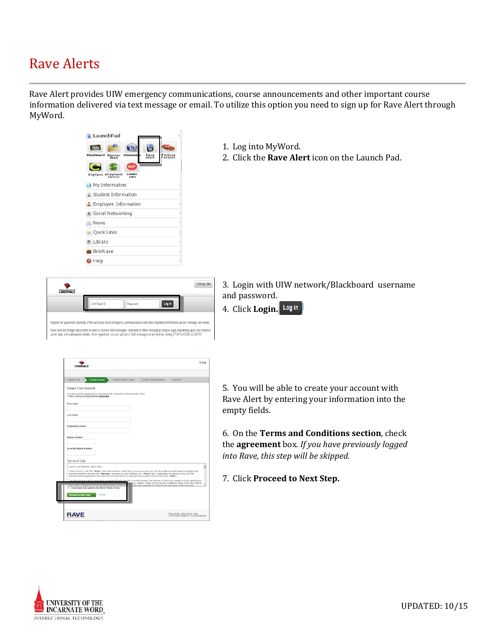## Rave Alerts

Rave Alert provides UIW emergency communications, course announcements and other important course information delivered via text message or email. To utilize this option you need to sign up for Rave Alert through MyWord.



- 1. Log into MyWord.
- 2. Click the **Rave Alert** icon on the Launch Pad.

| <b>CARDINALS</b> |                     |          |                                                                                                                                                                                                                                                                                    | <b>Change Site</b> |
|------------------|---------------------|----------|------------------------------------------------------------------------------------------------------------------------------------------------------------------------------------------------------------------------------------------------------------------------------------|--------------------|
|                  | <b>UIW Fmail ID</b> | Password | Log in                                                                                                                                                                                                                                                                             |                    |
|                  |                     |          | Register for approved University of the Incarnate Word emergency communications and other important information via text message and email.                                                                                                                                        |                    |
|                  |                     |          | Rave does not charge subscribers to send or receive SMS messages. Standard or other messaging charges apply depending upon your wireless<br>carrier plan and subscription details. Once registered, you can opt out of SMS messages at any time by texting STOP to 67283 or 226787 |                    |

- 3. Login with UIW network/Blackboard username and password.
- 4. Click **Login.**

|                                                                                                                                       |                                                                                     | <b>CD Help</b>                                                                                                                                                                                                                                                                                                                                                                                                                                                                                                                                                                                                       |
|---------------------------------------------------------------------------------------------------------------------------------------|-------------------------------------------------------------------------------------|----------------------------------------------------------------------------------------------------------------------------------------------------------------------------------------------------------------------------------------------------------------------------------------------------------------------------------------------------------------------------------------------------------------------------------------------------------------------------------------------------------------------------------------------------------------------------------------------------------------------|
| Validate User<br><b>Create Account</b>                                                                                                | Contirm Mobile Carrier                                                              | Contrm Mobile Number<br>Finished                                                                                                                                                                                                                                                                                                                                                                                                                                                                                                                                                                                     |
| Create Your Account<br>If this is not your organization click here.                                                                   | You are currently registering for an account with University of the Incarnate Word. |                                                                                                                                                                                                                                                                                                                                                                                                                                                                                                                                                                                                                      |
| First name                                                                                                                            |                                                                                     |                                                                                                                                                                                                                                                                                                                                                                                                                                                                                                                                                                                                                      |
| Last name                                                                                                                             |                                                                                     |                                                                                                                                                                                                                                                                                                                                                                                                                                                                                                                                                                                                                      |
| <b>Registration Email</b>                                                                                                             |                                                                                     |                                                                                                                                                                                                                                                                                                                                                                                                                                                                                                                                                                                                                      |
| <b>Mobile Number</b>                                                                                                                  |                                                                                     |                                                                                                                                                                                                                                                                                                                                                                                                                                                                                                                                                                                                                      |
| Re-enter Mobile Number                                                                                                                |                                                                                     |                                                                                                                                                                                                                                                                                                                                                                                                                                                                                                                                                                                                                      |
| Terms of Use                                                                                                                          |                                                                                     |                                                                                                                                                                                                                                                                                                                                                                                                                                                                                                                                                                                                                      |
| Date of Last Revision: March 2011                                                                                                     |                                                                                     | These Terms of Use (the "Terms") describe the terms under which you may access and use the mobile and web-based messaging and<br>telecommunication services (the "Services") provided by Rave Vilreless, Inc. ("Rave") and, if applicable, the client of Rave who has<br>licensed certain applications from Rave and through which you were granted access to the services (the "Client").<br>The Services are a set of applications accessed through the web or mobile devices. the features of which yary based on which applications<br>ish you register. These Terms may be modified by Rave at any time without |
| Locincomiste Coanges to the Terms wil be realed on this re-<br>I have read and agree to the Raye Terms of Use<br>Proceed to Next Step | Cancel                                                                              | this name will indicate at the top the date these Terms were last                                                                                                                                                                                                                                                                                                                                                                                                                                                                                                                                                    |
|                                                                                                                                       |                                                                                     |                                                                                                                                                                                                                                                                                                                                                                                                                                                                                                                                                                                                                      |

5. You will be able to create your account with Rave Alert by entering your information into the empty fields.

6. On the **Terms and Conditions section**, check the **agreement** box*. If you have previously logged into Rave, this step will be skipped.*

7. Click **Proceed to Next Step.**

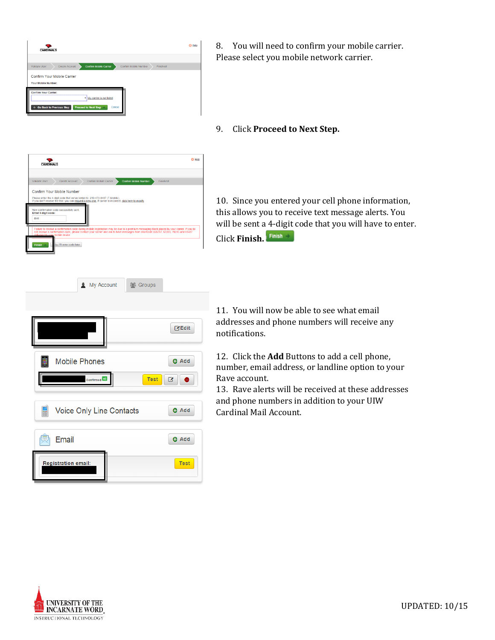

 $\sum_{n=1}^{\infty}$ 

Confirm Your Mobile Number

Please enter the 4-digit code that we've texted to 210-473-8437 (T-Mobile).<br>If you don't receive the text, you can request a new one, If carrier is incorrect, <u>click here to m</u>

de later

- 8. You will need to confirm your mobile carrier. Please select you mobile network carrier.
- 9. Click **Proceed to Next Step.**

 $O$  Help

our carrier. If you do

10. Since you entered your cell phone information, this allows you to receive text message alerts. You will be sent a 4-digit code that you will have to enter. Click **Finish.** 

| My Account<br><b>10</b> Groups          |              |
|-----------------------------------------|--------------|
|                                         |              |
|                                         | <b>MEdit</b> |
| <b>Mobile Phones</b>                    | <b>O</b> Add |
| <b>Test</b><br>Confirmed <sup>(1)</sup> | B<br>◓       |
| Voice Only Line Contacts<br>冨           | <b>O</b> Add |
| Email                                   | <b>O</b> Add |
| <b>Registration email:</b>              | <b>Test</b>  |

11. You will now be able to see what email addresses and phone numbers will receive any notifications.

12. Click the **Add** Buttons to add a cell phone, number, email address, or landline option to your Rave account.

13. Rave alerts will be received at these addresses and phone numbers in addition to your UIW Cardinal Mail Account.

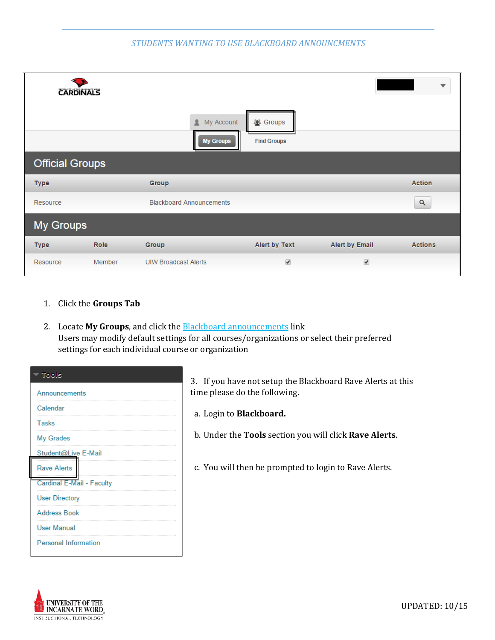## *STUDENTS WANTING TO USE BLACKBOARD ANNOUNCMENTS*

|                        | <b>CARDINALS</b> |                                     |                                       |                       | ▼              |
|------------------------|------------------|-------------------------------------|---------------------------------------|-----------------------|----------------|
|                        |                  | My Account<br>2<br><b>My Groups</b> | <b>2</b> Groups<br><b>Find Groups</b> |                       |                |
| <b>Official Groups</b> |                  |                                     |                                       |                       |                |
| <b>Type</b>            |                  | Group                               |                                       |                       | <b>Action</b>  |
| Resource               |                  | <b>Blackboard Announcements</b>     |                                       |                       | Q              |
| <b>My Groups</b>       |                  |                                     |                                       |                       |                |
| <b>Type</b>            | Role             | Group                               | Alert by Text                         | <b>Alert by Email</b> | <b>Actions</b> |
| Resource               | Member           | <b>UIW Broadcast Alerts</b>         | $\blacktriangledown$                  | $\blacktriangledown$  |                |

- 1. Click the **Groups Tab**
- 2. Locate **My Groups**, and click the Blackboard announcements link Users may modify default settings for all courses/organizations or select their preferred settings for each individual course or organization

| Tools                       |
|-----------------------------|
| Announcements               |
| Calendar                    |
| <b>Tasks</b>                |
| My Grades                   |
| Student@Live E-Mail         |
| <b>Rave Alerts</b>          |
| Cardinal E-Mail - Faculty   |
| <b>User Directory</b>       |
| <b>Address Book</b>         |
| <b>User Manual</b>          |
| <b>Personal Information</b> |

3. If you have not setup the Blackboard Rave Alerts at this time please do the following.

- a. Login to **Blackboard.**
- b. Under the **Tools** section you will click **Rave Alerts**.
- c. You will then be prompted to login to Rave Alerts.